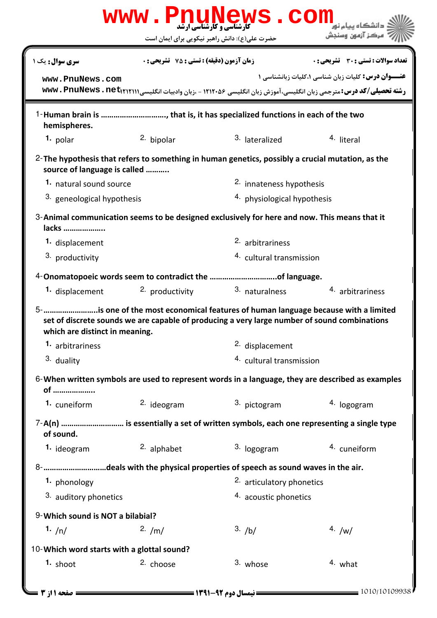|                                            | WWW.PnuNews.com                                    |                                                                                                                                                                                           | مركز آزمون وسنجش                                                                                                                                                             |  |
|--------------------------------------------|----------------------------------------------------|-------------------------------------------------------------------------------------------------------------------------------------------------------------------------------------------|------------------------------------------------------------------------------------------------------------------------------------------------------------------------------|--|
|                                            |                                                    | حضرت علی(ع): دانش راهبر نیکویی برای ایمان است                                                                                                                                             |                                                                                                                                                                              |  |
| سری سوال : یک ۱                            | <b>زمان آزمون (دقیقه) : تستی : 75 ٪ تشریحی : 0</b> |                                                                                                                                                                                           | <b>تعداد سوالات : تستی : 30 ٪ تشریحی : 0</b>                                                                                                                                 |  |
| www.PnuNews.com                            |                                                    |                                                                                                                                                                                           | <b>عنـــوان درس:</b> کلیات زبان شناسی ۱،کلیات زبانشناسی ۱<br>رشته تحصیلی/کد درس: مترجمی زبان انگلیسی، آموزش زبان انگلیسی ۱۲۱۲۰۵۶ - ،زبان وادبیات انگلیسی www . PnuNews . net |  |
| hemispheres.                               |                                                    | 1-Human brain is , that is, it has specialized functions in each of the two                                                                                                               |                                                                                                                                                                              |  |
| 1. polar                                   | <sup>2.</sup> bipolar                              | 3. lateralized                                                                                                                                                                            | <sup>4.</sup> literal                                                                                                                                                        |  |
| source of language is called               |                                                    | 2- The hypothesis that refers to something in human genetics, possibly a crucial mutation, as the                                                                                         |                                                                                                                                                                              |  |
| 1. natural sound source                    |                                                    | 2. innateness hypothesis                                                                                                                                                                  |                                                                                                                                                                              |  |
| 3. geneological hypothesis                 |                                                    | 4. physiological hypothesis                                                                                                                                                               |                                                                                                                                                                              |  |
| lacks                                      |                                                    | 3-Animal communication seems to be designed exclusively for here and now. This means that it                                                                                              |                                                                                                                                                                              |  |
| 1. displacement                            |                                                    | 2. arbitrariness                                                                                                                                                                          |                                                                                                                                                                              |  |
|                                            |                                                    |                                                                                                                                                                                           |                                                                                                                                                                              |  |
| 3. productivity                            |                                                    | 4. cultural transmission                                                                                                                                                                  |                                                                                                                                                                              |  |
|                                            |                                                    |                                                                                                                                                                                           |                                                                                                                                                                              |  |
| 1. displacement                            | 2. productivity                                    | 3. naturalness                                                                                                                                                                            | 4. arbitrariness                                                                                                                                                             |  |
| which are distinct in meaning.             |                                                    | 5-        is one of the most economical features of human language because with a limited<br>set of discrete sounds we are capable of producing a very large number of sound combinations |                                                                                                                                                                              |  |
| 1. arbitrariness                           |                                                    | <sup>2.</sup> displacement                                                                                                                                                                |                                                                                                                                                                              |  |
| 3. duality                                 |                                                    | 4. cultural transmission                                                                                                                                                                  |                                                                                                                                                                              |  |
| of                                         |                                                    |                                                                                                                                                                                           | 6-When written symbols are used to represent words in a language, they are described as examples                                                                             |  |
| 1. cuneiform                               | 2. ideogram                                        | 3. pictogram                                                                                                                                                                              | 4. logogram                                                                                                                                                                  |  |
| of sound.                                  |                                                    |                                                                                                                                                                                           | 7-A(n)  is essentially a set of written symbols, each one representing a single type                                                                                         |  |
| 1. ideogram                                | 2. alphabet                                        | 3. logogram                                                                                                                                                                               | 4. cuneiform                                                                                                                                                                 |  |
|                                            |                                                    |                                                                                                                                                                                           |                                                                                                                                                                              |  |
| 1. phonology                               |                                                    | 8- deals with the physical properties of speech as sound waves in the air.<br>2. articulatory phonetics                                                                                   |                                                                                                                                                                              |  |
| 3. auditory phonetics                      |                                                    | 4. acoustic phonetics                                                                                                                                                                     |                                                                                                                                                                              |  |
| 9-Which sound is NOT a bilabial?           |                                                    |                                                                                                                                                                                           |                                                                                                                                                                              |  |
| 1. $/n/$                                   | 2. /m/                                             | 3. /b/                                                                                                                                                                                    | 4. $/w/$                                                                                                                                                                     |  |
| 10-Which word starts with a glottal sound? |                                                    |                                                                                                                                                                                           |                                                                                                                                                                              |  |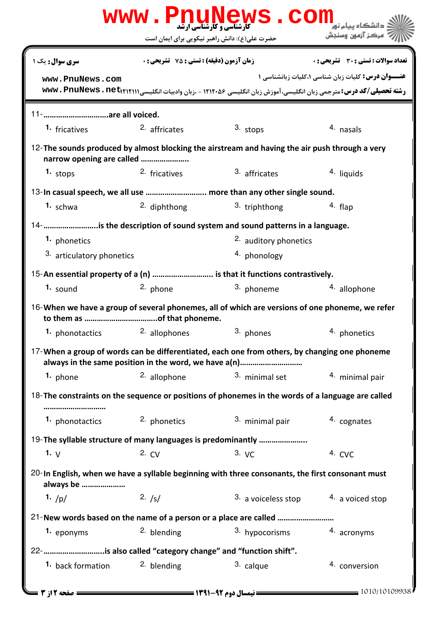|                           |                                                    | حضرت علی(ع): دانش راهبر نیکویی برای ایمان است                                                                  | ' مرڪز آزمون وسنڊش                                |
|---------------------------|----------------------------------------------------|----------------------------------------------------------------------------------------------------------------|---------------------------------------------------|
| <b>سری سوال :</b> یک ۱    | <b>زمان آزمون (دقیقه) : تستی : 75 ٪ تشریحی : 0</b> |                                                                                                                | <b>تعداد سوالات : تستی : 30 ٪ تشریحی : 0</b>      |
| www.PnuNews.com           |                                                    | رشته تحصیلی/کد درس: مترجمی زبان انگلیسی، آموزش زبان انگلیسی ۱۲۱۲۰۵۶ - ،زبان وادبیات انگلیسی www. PnuNews . net | عنــوان درس: کلیات زبان شناسی ۱،کلیات زبانشناسی ۱ |
| 11- are all voiced.       |                                                    |                                                                                                                |                                                   |
| 1. fricatives             | 2. affricates                                      | 3. stops                                                                                                       | 4. nasals                                         |
| narrow opening are called |                                                    | 12-The sounds produced by almost blocking the airstream and having the air push through a very                 |                                                   |
| 1. stops                  | 2. fricatives                                      | 3. affricates                                                                                                  | 4. liquids                                        |
|                           |                                                    | 13-In casual speech, we all use  more than any other single sound.                                             |                                                   |
| $1.$ schwa                | 2. diphthong                                       | 3. triphthong                                                                                                  | 4. flap                                           |
|                           |                                                    | 14- is the description of sound system and sound patterns in a language.                                       |                                                   |
| 1. phonetics              |                                                    | <sup>2.</sup> auditory phonetics                                                                               |                                                   |
| 3. articulatory phonetics |                                                    | 4. phonology                                                                                                   |                                                   |
|                           |                                                    | 15-An essential property of a (n)  is that it functions contrastively.                                         |                                                   |
| $1.$ sound                | 2. phone                                           | 3. phoneme                                                                                                     | 4. allophone                                      |
|                           |                                                    | 16-When we have a group of several phonemes, all of which are versions of one phoneme, we refer                |                                                   |
|                           |                                                    | <b>1.</b> phonotactics <b>2.</b> allophones 3. phones                                                          | 4. phonetics                                      |
|                           |                                                    | 17-When a group of words can be differentiated, each one from others, by changing one phoneme                  |                                                   |
| 1. phone                  | 2. allophone                                       | 3. minimal set                                                                                                 | 4. minimal pair                                   |
|                           |                                                    | 18-The constraints on the sequence or positions of phonemes in the words of a language are called              |                                                   |
| 1. phonotactics           | 2. phonetics                                       | 3. minimal pair                                                                                                | 4. cognates                                       |
|                           |                                                    | 19-The syllable structure of many languages is predominantly                                                   |                                                   |
| 1. $V$                    | 2. CV                                              | $3. \vee C$                                                                                                    | 4. CVC                                            |
| always be                 |                                                    | 20-In English, when we have a syllable beginning with three consonants, the first consonant must               |                                                   |
| 1. $/p/$                  | 2. $/s/$                                           | 3. a voiceless stop                                                                                            | 4. a voiced stop                                  |
|                           |                                                    |                                                                                                                |                                                   |
| 1. eponyms                | <sup>2.</sup> blending                             | 3. hypocorisms                                                                                                 | 4. acronyms                                       |
|                           |                                                    | 22- is also called "category change" and "function shift".                                                     |                                                   |
| 1. back formation         | 2. blending                                        | 3. calque                                                                                                      | 4. conversion                                     |